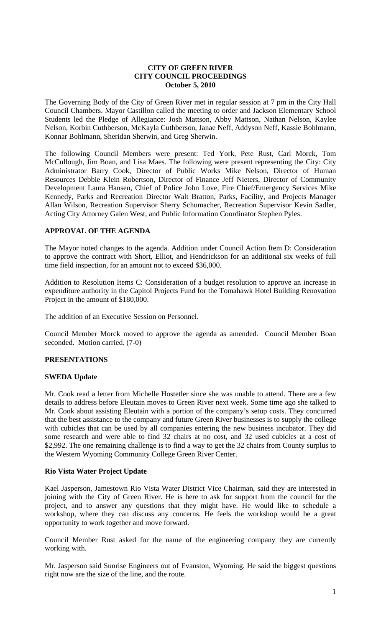## **CITY OF GREEN RIVER CITY COUNCIL PROCEEDINGS October 5, 2010**

The Governing Body of the City of Green River met in regular session at 7 pm in the City Hall Council Chambers. Mayor Castillon called the meeting to order and Jackson Elementary School Students led the Pledge of Allegiance: Josh Mattson, Abby Mattson, Nathan Nelson, Kaylee Nelson, Korbin Cuthberson, McKayla Cuthberson, Janae Neff, Addyson Neff, Kassie Bohlmann, Konnar Bohlmann, Sheridan Sherwin, and Greg Sherwin.

The following Council Members were present: Ted York, Pete Rust, Carl Morck, Tom McCullough, Jim Boan, and Lisa Maes. The following were present representing the City: City Administrator Barry Cook, Director of Public Works Mike Nelson, Director of Human Resources Debbie Klein Robertson, Director of Finance Jeff Nieters, Director of Community Development Laura Hansen, Chief of Police John Love, Fire Chief/Emergency Services Mike Kennedy, Parks and Recreation Director Walt Bratton, Parks, Facility, and Projects Manager Allan Wilson, Recreation Supervisor Sherry Schumacher, Recreation Supervisor Kevin Sadler, Acting City Attorney Galen West, and Public Information Coordinator Stephen Pyles.

# **APPROVAL OF THE AGENDA**

The Mayor noted changes to the agenda. Addition under Council Action Item D: Consideration to approve the contract with Short, Elliot, and Hendrickson for an additional six weeks of full time field inspection, for an amount not to exceed \$36,000.

Addition to Resolution Items C: Consideration of a budget resolution to approve an increase in expenditure authority in the Capitol Projects Fund for the Tomahawk Hotel Building Renovation Project in the amount of \$180,000.

The addition of an Executive Session on Personnel.

Council Member Morck moved to approve the agenda as amended. Council Member Boan seconded. Motion carried. (7-0)

# **PRESENTATIONS**

## **SWEDA Update**

Mr. Cook read a letter from Michelle Hostetler since she was unable to attend. There are a few details to address before Eleutain moves to Green River next week. Some time ago she talked to Mr. Cook about assisting Eleutain with a portion of the company's setup costs. They concurred that the best assistance to the company and future Green River businesses is to supply the college with cubicles that can be used by all companies entering the new business incubator. They did some research and were able to find 32 chairs at no cost, and 32 used cubicles at a cost of \$2,992. The one remaining challenge is to find a way to get the 32 chairs from County surplus to the Western Wyoming Community College Green River Center.

## **Rio Vista Water Project Update**

Kael Jasperson, Jamestown Rio Vista Water District Vice Chairman, said they are interested in joining with the City of Green River. He is here to ask for support from the council for the project, and to answer any questions that they might have. He would like to schedule a workshop, where they can discuss any concerns. He feels the workshop would be a great opportunity to work together and move forward.

Council Member Rust asked for the name of the engineering company they are currently working with.

Mr. Jasperson said Sunrise Engineers out of Evanston, Wyoming. He said the biggest questions right now are the size of the line, and the route.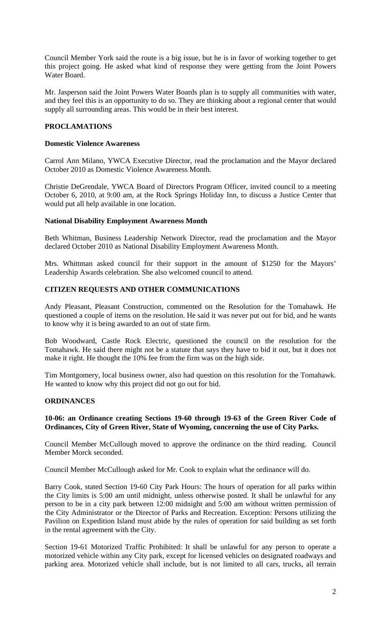Council Member York said the route is a big issue, but he is in favor of working together to get this project going. He asked what kind of response they were getting from the Joint Powers Water Board.

Mr. Jasperson said the Joint Powers Water Boards plan is to supply all communities with water, and they feel this is an opportunity to do so. They are thinking about a regional center that would supply all surrounding areas. This would be in their best interest.

# **PROCLAMATIONS**

## **Domestic Violence Awareness**

Carrol Ann Milano, YWCA Executive Director, read the proclamation and the Mayor declared October 2010 as Domestic Violence Awareness Month.

Christie DeGrendale, YWCA Board of Directors Program Officer, invited council to a meeting October 6, 2010, at 9:00 am, at the Rock Springs Holiday Inn, to discuss a Justice Center that would put all help available in one location.

## **National Disability Employment Awareness Month**

Beth Whitman, Business Leadership Network Director, read the proclamation and the Mayor declared October 2010 as National Disability Employment Awareness Month.

Mrs. Whittman asked council for their support in the amount of \$1250 for the Mayors' Leadership Awards celebration. She also welcomed council to attend.

## **CITIZEN REQUESTS AND OTHER COMMUNICATIONS**

Andy Pleasant, Pleasant Construction, commented on the Resolution for the Tomahawk. He questioned a couple of items on the resolution. He said it was never put out for bid, and he wants to know why it is being awarded to an out of state firm.

Bob Woodward, Castle Rock Electric, questioned the council on the resolution for the Tomahawk. He said there might not be a statute that says they have to bid it out, but it does not make it right. He thought the 10% fee from the firm was on the high side.

Tim Montgomery, local business owner, also had question on this resolution for the Tomahawk. He wanted to know why this project did not go out for bid.

## **ORDINANCES**

## **10-06: an Ordinance creating Sections 19-60 through 19-63 of the Green River Code of Ordinances, City of Green River, State of Wyoming, concerning the use of City Parks.**

Council Member McCullough moved to approve the ordinance on the third reading. Council Member Morck seconded.

Council Member McCullough asked for Mr. Cook to explain what the ordinance will do.

Barry Cook, stated Section 19-60 City Park Hours: The hours of operation for all parks within the City limits is 5:00 am until midnight, unless otherwise posted. It shall be unlawful for any person to be in a city park between 12:00 midnight and 5:00 am without written permission of the City Administrator or the Director of Parks and Recreation. Exception: Persons utilizing the Pavilion on Expedition Island must abide by the rules of operation for said building as set forth in the rental agreement with the City.

Section 19-61 Motorized Traffic Prohibited: It shall be unlawful for any person to operate a motorized vehicle within any City park, except for licensed vehicles on designated roadways and parking area. Motorized vehicle shall include, but is not limited to all cars, trucks, all terrain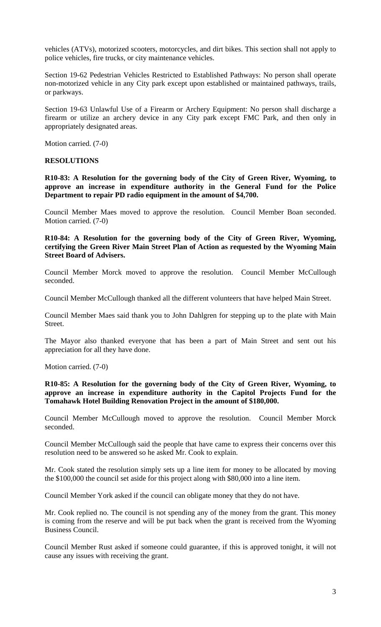vehicles (ATVs), motorized scooters, motorcycles, and dirt bikes. This section shall not apply to police vehicles, fire trucks, or city maintenance vehicles.

Section 19-62 Pedestrian Vehicles Restricted to Established Pathways: No person shall operate non-motorized vehicle in any City park except upon established or maintained pathways, trails, or parkways.

Section 19-63 Unlawful Use of a Firearm or Archery Equipment: No person shall discharge a firearm or utilize an archery device in any City park except FMC Park, and then only in appropriately designated areas.

Motion carried. (7-0)

#### **RESOLUTIONS**

**R10-83: A Resolution for the governing body of the City of Green River, Wyoming, to approve an increase in expenditure authority in the General Fund for the Police Department to repair PD radio equipment in the amount of \$4,700.**

Council Member Maes moved to approve the resolution. Council Member Boan seconded. Motion carried. (7-0)

**R10-84: A Resolution for the governing body of the City of Green River, Wyoming, certifying the Green River Main Street Plan of Action as requested by the Wyoming Main Street Board of Advisers.**

Council Member Morck moved to approve the resolution. Council Member McCullough seconded.

Council Member McCullough thanked all the different volunteers that have helped Main Street.

Council Member Maes said thank you to John Dahlgren for stepping up to the plate with Main Street.

The Mayor also thanked everyone that has been a part of Main Street and sent out his appreciation for all they have done.

Motion carried. (7-0)

**R10-85: A Resolution for the governing body of the City of Green River, Wyoming, to approve an increase in expenditure authority in the Capitol Projects Fund for the Tomahawk Hotel Building Renovation Project in the amount of \$180,000.**

Council Member McCullough moved to approve the resolution. Council Member Morck seconded.

Council Member McCullough said the people that have came to express their concerns over this resolution need to be answered so he asked Mr. Cook to explain.

Mr. Cook stated the resolution simply sets up a line item for money to be allocated by moving the \$100,000 the council set aside for this project along with \$80,000 into a line item.

Council Member York asked if the council can obligate money that they do not have.

Mr. Cook replied no. The council is not spending any of the money from the grant. This money is coming from the reserve and will be put back when the grant is received from the Wyoming Business Council.

Council Member Rust asked if someone could guarantee, if this is approved tonight, it will not cause any issues with receiving the grant.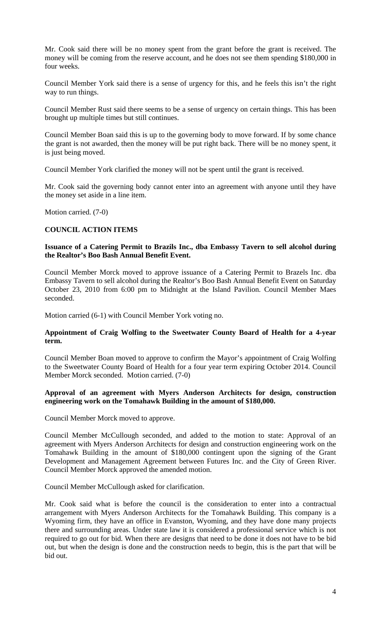Mr. Cook said there will be no money spent from the grant before the grant is received. The money will be coming from the reserve account, and he does not see them spending \$180,000 in four weeks.

Council Member York said there is a sense of urgency for this, and he feels this isn't the right way to run things.

Council Member Rust said there seems to be a sense of urgency on certain things. This has been brought up multiple times but still continues.

Council Member Boan said this is up to the governing body to move forward. If by some chance the grant is not awarded, then the money will be put right back. There will be no money spent, it is just being moved.

Council Member York clarified the money will not be spent until the grant is received.

Mr. Cook said the governing body cannot enter into an agreement with anyone until they have the money set aside in a line item.

Motion carried. (7-0)

## **COUNCIL ACTION ITEMS**

### **Issuance of a Catering Permit to Brazils Inc., dba Embassy Tavern to sell alcohol during the Realtor's Boo Bash Annual Benefit Event.**

Council Member Morck moved to approve issuance of a Catering Permit to Brazels Inc. dba Embassy Tavern to sell alcohol during the Realtor's Boo Bash Annual Benefit Event on Saturday October 23, 2010 from 6:00 pm to Midnight at the Island Pavilion. Council Member Maes seconded.

Motion carried (6-1) with Council Member York voting no.

## **Appointment of Craig Wolfing to the Sweetwater County Board of Health for a 4-year term.**

Council Member Boan moved to approve to confirm the Mayor's appointment of Craig Wolfing to the Sweetwater County Board of Health for a four year term expiring October 2014. Council Member Morck seconded. Motion carried. (7-0)

#### **Approval of an agreement with Myers Anderson Architects for design, construction engineering work on the Tomahawk Building in the amount of \$180,000.**

Council Member Morck moved to approve.

Council Member McCullough seconded, and added to the motion to state: Approval of an agreement with Myers Anderson Architects for design and construction engineering work on the Tomahawk Building in the amount of \$180,000 contingent upon the signing of the Grant Development and Management Agreement between Futures Inc. and the City of Green River. Council Member Morck approved the amended motion.

Council Member McCullough asked for clarification.

Mr. Cook said what is before the council is the consideration to enter into a contractual arrangement with Myers Anderson Architects for the Tomahawk Building. This company is a Wyoming firm, they have an office in Evanston, Wyoming, and they have done many projects there and surrounding areas. Under state law it is considered a professional service which is not required to go out for bid. When there are designs that need to be done it does not have to be bid out, but when the design is done and the construction needs to begin, this is the part that will be bid out.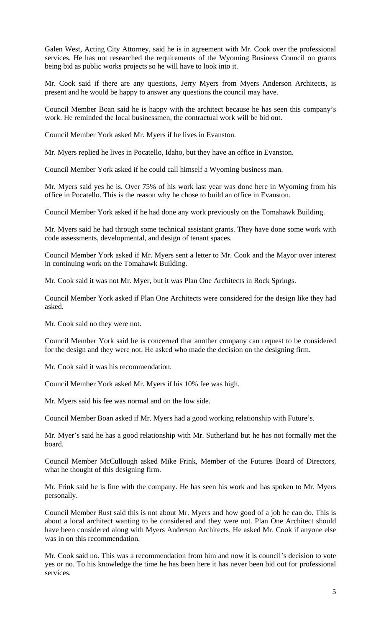Galen West, Acting City Attorney, said he is in agreement with Mr. Cook over the professional services. He has not researched the requirements of the Wyoming Business Council on grants being bid as public works projects so he will have to look into it.

Mr. Cook said if there are any questions, Jerry Myers from Myers Anderson Architects, is present and he would be happy to answer any questions the council may have.

Council Member Boan said he is happy with the architect because he has seen this company's work. He reminded the local businessmen, the contractual work will be bid out.

Council Member York asked Mr. Myers if he lives in Evanston.

Mr. Myers replied he lives in Pocatello, Idaho, but they have an office in Evanston.

Council Member York asked if he could call himself a Wyoming business man.

Mr. Myers said yes he is. Over 75% of his work last year was done here in Wyoming from his office in Pocatello. This is the reason why he chose to build an office in Evanston.

Council Member York asked if he had done any work previously on the Tomahawk Building.

Mr. Myers said he had through some technical assistant grants. They have done some work with code assessments, developmental, and design of tenant spaces.

Council Member York asked if Mr. Myers sent a letter to Mr. Cook and the Mayor over interest in continuing work on the Tomahawk Building.

Mr. Cook said it was not Mr. Myer, but it was Plan One Architects in Rock Springs.

Council Member York asked if Plan One Architects were considered for the design like they had asked.

Mr. Cook said no they were not.

Council Member York said he is concerned that another company can request to be considered for the design and they were not. He asked who made the decision on the designing firm.

Mr. Cook said it was his recommendation.

Council Member York asked Mr. Myers if his 10% fee was high.

Mr. Myers said his fee was normal and on the low side.

Council Member Boan asked if Mr. Myers had a good working relationship with Future's.

Mr. Myer's said he has a good relationship with Mr. Sutherland but he has not formally met the board.

Council Member McCullough asked Mike Frink, Member of the Futures Board of Directors, what he thought of this designing firm.

Mr. Frink said he is fine with the company. He has seen his work and has spoken to Mr. Myers personally.

Council Member Rust said this is not about Mr. Myers and how good of a job he can do. This is about a local architect wanting to be considered and they were not. Plan One Architect should have been considered along with Myers Anderson Architects. He asked Mr. Cook if anyone else was in on this recommendation.

Mr. Cook said no. This was a recommendation from him and now it is council's decision to vote yes or no. To his knowledge the time he has been here it has never been bid out for professional services.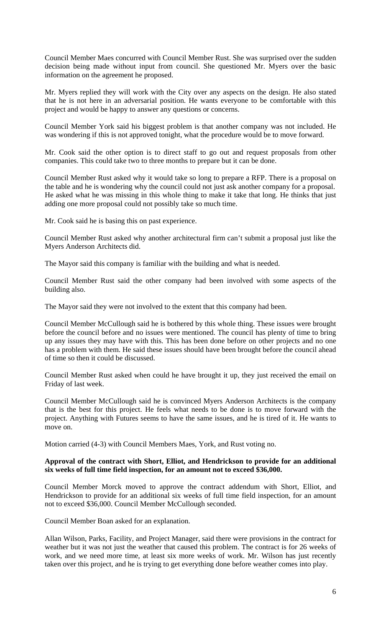Council Member Maes concurred with Council Member Rust. She was surprised over the sudden decision being made without input from council. She questioned Mr. Myers over the basic information on the agreement he proposed.

Mr. Myers replied they will work with the City over any aspects on the design. He also stated that he is not here in an adversarial position. He wants everyone to be comfortable with this project and would be happy to answer any questions or concerns.

Council Member York said his biggest problem is that another company was not included. He was wondering if this is not approved tonight, what the procedure would be to move forward.

Mr. Cook said the other option is to direct staff to go out and request proposals from other companies. This could take two to three months to prepare but it can be done.

Council Member Rust asked why it would take so long to prepare a RFP. There is a proposal on the table and he is wondering why the council could not just ask another company for a proposal. He asked what he was missing in this whole thing to make it take that long. He thinks that just adding one more proposal could not possibly take so much time.

Mr. Cook said he is basing this on past experience.

Council Member Rust asked why another architectural firm can't submit a proposal just like the Myers Anderson Architects did.

The Mayor said this company is familiar with the building and what is needed.

Council Member Rust said the other company had been involved with some aspects of the building also.

The Mayor said they were not involved to the extent that this company had been.

Council Member McCullough said he is bothered by this whole thing. These issues were brought before the council before and no issues were mentioned. The council has plenty of time to bring up any issues they may have with this. This has been done before on other projects and no one has a problem with them. He said these issues should have been brought before the council ahead of time so then it could be discussed.

Council Member Rust asked when could he have brought it up, they just received the email on Friday of last week.

Council Member McCullough said he is convinced Myers Anderson Architects is the company that is the best for this project. He feels what needs to be done is to move forward with the project. Anything with Futures seems to have the same issues, and he is tired of it. He wants to move on.

Motion carried (4-3) with Council Members Maes, York, and Rust voting no.

## **Approval of the contract with Short, Elliot, and Hendrickson to provide for an additional six weeks of full time field inspection, for an amount not to exceed \$36,000.**

Council Member Morck moved to approve the contract addendum with Short, Elliot, and Hendrickson to provide for an additional six weeks of full time field inspection, for an amount not to exceed \$36,000. Council Member McCullough seconded.

Council Member Boan asked for an explanation.

Allan Wilson, Parks, Facility, and Project Manager, said there were provisions in the contract for weather but it was not just the weather that caused this problem. The contract is for 26 weeks of work, and we need more time, at least six more weeks of work. Mr. Wilson has just recently taken over this project, and he is trying to get everything done before weather comes into play.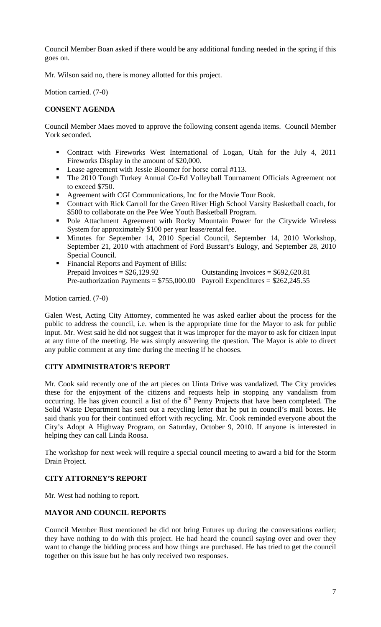Council Member Boan asked if there would be any additional funding needed in the spring if this goes on.

Mr. Wilson said no, there is money allotted for this project.

Motion carried. (7-0)

## **CONSENT AGENDA**

Council Member Maes moved to approve the following consent agenda items. Council Member York seconded.

- Contract with Fireworks West International of Logan, Utah for the July 4, 2011 Fireworks Display in the amount of \$20,000.
- Lease agreement with Jessie Bloomer for horse corral #113.
- The 2010 Tough Turkey Annual Co-Ed Volleyball Tournament Officials Agreement not to exceed \$750.
- **Agreement with CGI Communications, Inc for the Movie Tour Book.**
- Contract with Rick Carroll for the Green River High School Varsity Basketball coach, for \$500 to collaborate on the Pee Wee Youth Basketball Program.
- Pole Attachment Agreement with Rocky Mountain Power for the Citywide Wireless System for approximately \$100 per year lease/rental fee.
- Minutes for September 14, 2010 Special Council, September 14, 2010 Workshop, September 21, 2010 with attachment of Ford Bussart's Eulogy, and September 28, 2010 Special Council.
- Financial Reports and Payment of Bills: Prepaid Invoices =  $$26,129.92$  Outstanding Invoices =  $$692,620.81$ Pre-authorization Payments =  $$755,000.00$  Payroll Expenditures =  $$262,245.55$

Motion carried. (7-0)

Galen West, Acting City Attorney, commented he was asked earlier about the process for the public to address the council, i.e. when is the appropriate time for the Mayor to ask for public input. Mr. West said he did not suggest that it was improper for the mayor to ask for citizen input at any time of the meeting. He was simply answering the question. The Mayor is able to direct any public comment at any time during the meeting if he chooses.

# **CITY ADMINISTRATOR'S REPORT**

Mr. Cook said recently one of the art pieces on Uinta Drive was vandalized. The City provides these for the enjoyment of the citizens and requests help in stopping any vandalism from occurring. He has given council a list of the  $6<sup>th</sup>$  Penny Projects that have been completed. The Solid Waste Department has sent out a recycling letter that he put in council's mail boxes. He said thank you for their continued effort with recycling. Mr. Cook reminded everyone about the City's Adopt A Highway Program, on Saturday, October 9, 2010. If anyone is interested in helping they can call Linda Roosa.

The workshop for next week will require a special council meeting to award a bid for the Storm Drain Project.

## **CITY ATTORNEY'S REPORT**

Mr. West had nothing to report.

## **MAYOR AND COUNCIL REPORTS**

Council Member Rust mentioned he did not bring Futures up during the conversations earlier; they have nothing to do with this project. He had heard the council saying over and over they want to change the bidding process and how things are purchased. He has tried to get the council together on this issue but he has only received two responses.